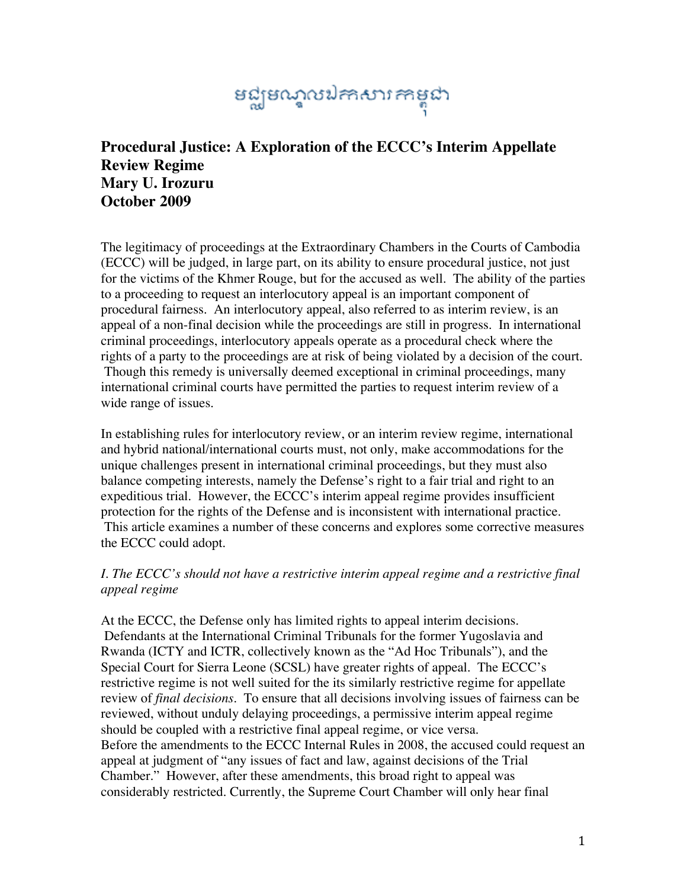# នជ្ឈមណ្ឌលឯកសារកាម្ពុជា

# **Procedural Justice: A Exploration of the ECCC's Interim Appellate Review Regime Mary U. Irozuru October 2009**

The legitimacy of proceedings at the Extraordinary Chambers in the Courts of Cambodia (ECCC) will be judged, in large part, on its ability to ensure procedural justice, not just for the victims of the Khmer Rouge, but for the accused as well. The ability of the parties to a proceeding to request an interlocutory appeal is an important component of procedural fairness. An interlocutory appeal, also referred to as interim review, is an appeal of a non-final decision while the proceedings are still in progress. In international criminal proceedings, interlocutory appeals operate as a procedural check where the rights of a party to the proceedings are at risk of being violated by a decision of the court. Though this remedy is universally deemed exceptional in criminal proceedings, many international criminal courts have permitted the parties to request interim review of a wide range of issues.

In establishing rules for interlocutory review, or an interim review regime, international and hybrid national/international courts must, not only, make accommodations for the unique challenges present in international criminal proceedings, but they must also balance competing interests, namely the Defense's right to a fair trial and right to an expeditious trial. However, the ECCC's interim appeal regime provides insufficient protection for the rights of the Defense and is inconsistent with international practice. This article examines a number of these concerns and explores some corrective measures the ECCC could adopt.

### *I. The ECCC's should not have a restrictive interim appeal regime and a restrictive final appeal regime*

At the ECCC, the Defense only has limited rights to appeal interim decisions. Defendants at the International Criminal Tribunals for the former Yugoslavia and Rwanda (ICTY and ICTR, collectively known as the "Ad Hoc Tribunals"), and the Special Court for Sierra Leone (SCSL) have greater rights of appeal. The ECCC's restrictive regime is not well suited for the its similarly restrictive regime for appellate review of *final decisions*. To ensure that all decisions involving issues of fairness can be reviewed, without unduly delaying proceedings, a permissive interim appeal regime should be coupled with a restrictive final appeal regime, or vice versa. Before the amendments to the ECCC Internal Rules in 2008, the accused could request an appeal at judgment of "any issues of fact and law, against decisions of the Trial Chamber." However, after these amendments, this broad right to appeal was considerably restricted. Currently, the Supreme Court Chamber will only hear final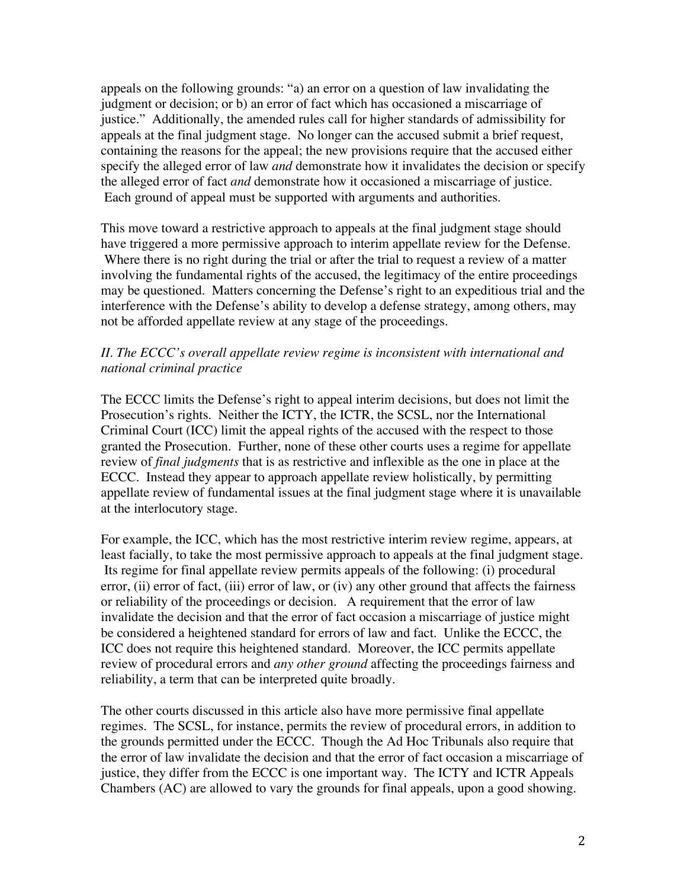appeals on the following grounds: "a) an error on a question of law invalidating the judgment or decision; or b) an error of fact which has occasioned a miscarriage of justice." Additionally, the amended rules call for higher standards of admissibility for appeals at the final judgment stage. No longer can the accused submit a brief request, containing the reasons for the appeal; the new provisions require that the accused either specify the alleged error of law *and* demonstrate how it invalidates the decision or specify the alleged error of fact *and* demonstrate how it occasioned a miscarriage of justice. Each ground of appeal must be supported with arguments and authorities.

This move toward a restrictive approach to appeals at the final judgment stage should have triggered a more permissive approach to interim appellate review for the Defense. Where there is no right during the trial or after the trial to request a review of a matter involving the fundamental rights of the accused, the legitimacy of the entire proceedings may be questioned. Matters concerning the Defense's right to an expeditious trial and the interference with the Defense's ability to develop a defense strategy, among others, may not be afforded appellate review at any stage of the proceedings.

# *II. The ECCC's overall appellate review regime is inconsistent with international and national criminal practice*

The ECCC limits the Defense's right to appeal interim decisions, but does not limit the Prosecution's rights. Neither the ICTY, the ICTR, the SCSL, nor the International Criminal Court (ICC) limit the appeal rights of the accused with the respect to those granted the Prosecution. Further, none of these other courts uses a regime for appellate review of *final judgments* that is as restrictive and inflexible as the one in place at the ECCC. Instead they appear to approach appellate review holistically, by permitting appellate review of fundamental issues at the final judgment stage where it is unavailable at the interlocutory stage.

For example, the ICC, which has the most restrictive interim review regime, appears, at least facially, to take the most permissive approach to appeals at the final judgment stage. Its regime for final appellate review permits appeals of the following: (i) procedural error, (ii) error of fact, (iii) error of law, or (iv) any other ground that affects the fairness or reliability of the proceedings or decision. A requirement that the error of law invalidate the decision and that the error of fact occasion a miscarriage of justice might be considered a heightened standard for errors of law and fact. Unlike the ECCC, the ICC does not require this heightened standard. Moreover, the ICC permits appellate review of procedural errors and *any other ground* affecting the proceedings fairness and reliability, a term that can be interpreted quite broadly.

The other courts discussed in this article also have more permissive final appellate regimes. The SCSL, for instance, permits the review of procedural errors, in addition to the grounds permitted under the ECCC. Though the Ad Hoc Tribunals also require that the error of law invalidate the decision and that the error of fact occasion a miscarriage of justice, they differ from the ECCC is one important way. The ICTY and ICTR Appeals Chambers (AC) are allowed to vary the grounds for final appeals, upon a good showing.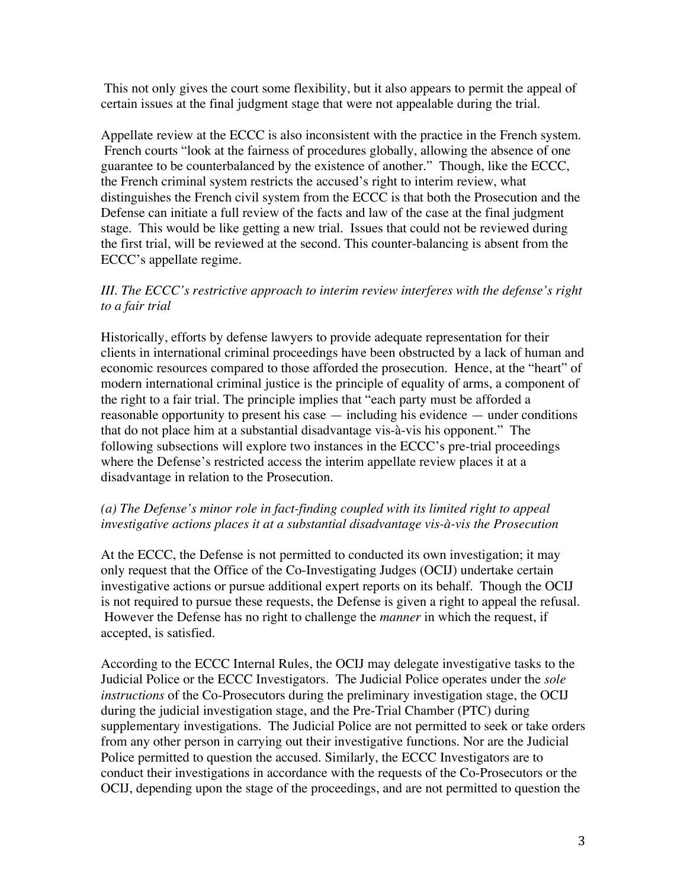This not only gives the court some flexibility, but it also appears to permit the appeal of certain issues at the final judgment stage that were not appealable during the trial.

Appellate review at the ECCC is also inconsistent with the practice in the French system. French courts "look at the fairness of procedures globally, allowing the absence of one guarantee to be counterbalanced by the existence of another." Though, like the ECCC, the French criminal system restricts the accused's right to interim review, what distinguishes the French civil system from the ECCC is that both the Prosecution and the Defense can initiate a full review of the facts and law of the case at the final judgment stage. This would be like getting a new trial. Issues that could not be reviewed during the first trial, will be reviewed at the second. This counter-balancing is absent from the ECCC's appellate regime.

# *III. The ECCC's restrictive approach to interim review interferes with the defense's right to a fair trial*

Historically, efforts by defense lawyers to provide adequate representation for their clients in international criminal proceedings have been obstructed by a lack of human and economic resources compared to those afforded the prosecution. Hence, at the "heart" of modern international criminal justice is the principle of equality of arms, a component of the right to a fair trial. The principle implies that "each party must be afforded a reasonable opportunity to present his case — including his evidence — under conditions that do not place him at a substantial disadvantage vis-à-vis his opponent." The following subsections will explore two instances in the ECCC's pre-trial proceedings where the Defense's restricted access the interim appellate review places it at a disadvantage in relation to the Prosecution.

# *(a) The Defense's minor role in fact-finding coupled with its limited right to appeal investigative actions places it at a substantial disadvantage vis-à-vis the Prosecution*

At the ECCC, the Defense is not permitted to conducted its own investigation; it may only request that the Office of the Co-Investigating Judges (OCIJ) undertake certain investigative actions or pursue additional expert reports on its behalf. Though the OCIJ is not required to pursue these requests, the Defense is given a right to appeal the refusal. However the Defense has no right to challenge the *manner* in which the request, if accepted, is satisfied.

According to the ECCC Internal Rules, the OCIJ may delegate investigative tasks to the Judicial Police or the ECCC Investigators. The Judicial Police operates under the *sole instructions* of the Co-Prosecutors during the preliminary investigation stage, the OCIJ during the judicial investigation stage, and the Pre-Trial Chamber (PTC) during supplementary investigations. The Judicial Police are not permitted to seek or take orders from any other person in carrying out their investigative functions. Nor are the Judicial Police permitted to question the accused. Similarly, the ECCC Investigators are to conduct their investigations in accordance with the requests of the Co-Prosecutors or the OCIJ, depending upon the stage of the proceedings, and are not permitted to question the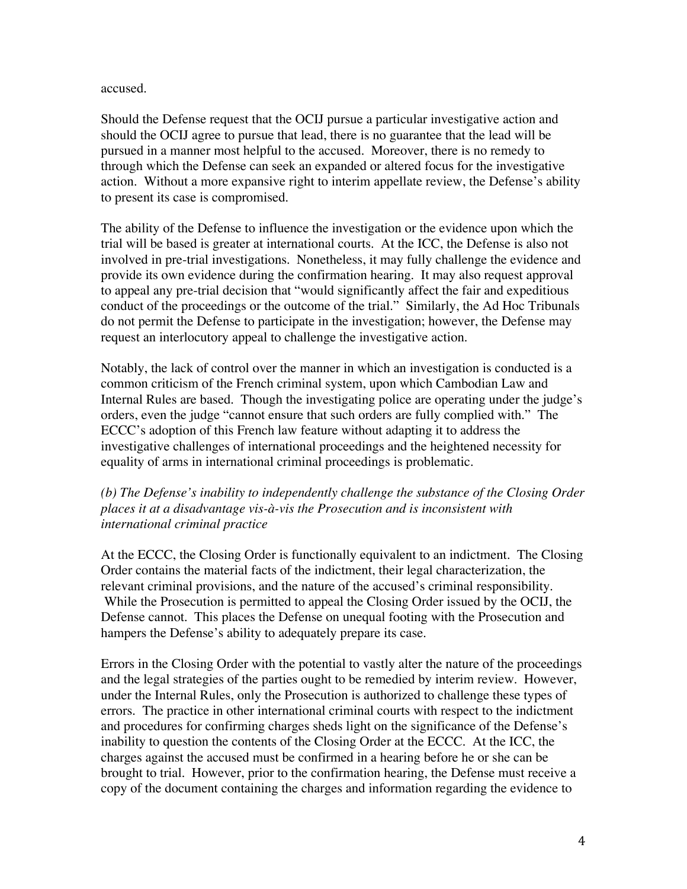#### accused.

Should the Defense request that the OCIJ pursue a particular investigative action and should the OCIJ agree to pursue that lead, there is no guarantee that the lead will be pursued in a manner most helpful to the accused. Moreover, there is no remedy to through which the Defense can seek an expanded or altered focus for the investigative action. Without a more expansive right to interim appellate review, the Defense's ability to present its case is compromised.

The ability of the Defense to influence the investigation or the evidence upon which the trial will be based is greater at international courts. At the ICC, the Defense is also not involved in pre-trial investigations. Nonetheless, it may fully challenge the evidence and provide its own evidence during the confirmation hearing. It may also request approval to appeal any pre-trial decision that "would significantly affect the fair and expeditious conduct of the proceedings or the outcome of the trial." Similarly, the Ad Hoc Tribunals do not permit the Defense to participate in the investigation; however, the Defense may request an interlocutory appeal to challenge the investigative action.

Notably, the lack of control over the manner in which an investigation is conducted is a common criticism of the French criminal system, upon which Cambodian Law and Internal Rules are based. Though the investigating police are operating under the judge's orders, even the judge "cannot ensure that such orders are fully complied with." The ECCC's adoption of this French law feature without adapting it to address the investigative challenges of international proceedings and the heightened necessity for equality of arms in international criminal proceedings is problematic.

*(b) The Defense's inability to independently challenge the substance of the Closing Order places it at a disadvantage vis-à-vis the Prosecution and is inconsistent with international criminal practice* 

At the ECCC, the Closing Order is functionally equivalent to an indictment. The Closing Order contains the material facts of the indictment, their legal characterization, the relevant criminal provisions, and the nature of the accused's criminal responsibility. While the Prosecution is permitted to appeal the Closing Order issued by the OCIJ, the Defense cannot. This places the Defense on unequal footing with the Prosecution and hampers the Defense's ability to adequately prepare its case.

Errors in the Closing Order with the potential to vastly alter the nature of the proceedings and the legal strategies of the parties ought to be remedied by interim review. However, under the Internal Rules, only the Prosecution is authorized to challenge these types of errors. The practice in other international criminal courts with respect to the indictment and procedures for confirming charges sheds light on the significance of the Defense's inability to question the contents of the Closing Order at the ECCC. At the ICC, the charges against the accused must be confirmed in a hearing before he or she can be brought to trial. However, prior to the confirmation hearing, the Defense must receive a copy of the document containing the charges and information regarding the evidence to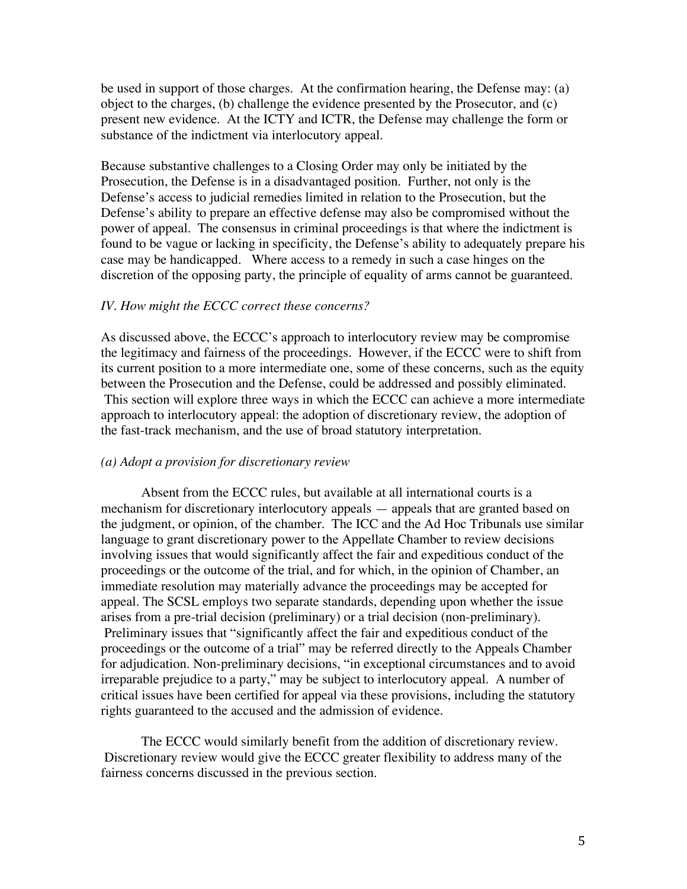be used in support of those charges. At the confirmation hearing, the Defense may: (a) object to the charges, (b) challenge the evidence presented by the Prosecutor, and (c) present new evidence. At the ICTY and ICTR, the Defense may challenge the form or substance of the indictment via interlocutory appeal.

Because substantive challenges to a Closing Order may only be initiated by the Prosecution, the Defense is in a disadvantaged position. Further, not only is the Defense's access to judicial remedies limited in relation to the Prosecution, but the Defense's ability to prepare an effective defense may also be compromised without the power of appeal. The consensus in criminal proceedings is that where the indictment is found to be vague or lacking in specificity, the Defense's ability to adequately prepare his case may be handicapped. Where access to a remedy in such a case hinges on the discretion of the opposing party, the principle of equality of arms cannot be guaranteed.

#### *IV. How might the ECCC correct these concerns?*

As discussed above, the ECCC's approach to interlocutory review may be compromise the legitimacy and fairness of the proceedings. However, if the ECCC were to shift from its current position to a more intermediate one, some of these concerns, such as the equity between the Prosecution and the Defense, could be addressed and possibly eliminated. This section will explore three ways in which the ECCC can achieve a more intermediate approach to interlocutory appeal: the adoption of discretionary review, the adoption of the fast-track mechanism, and the use of broad statutory interpretation.

#### *(a) Adopt a provision for discretionary review*

 Absent from the ECCC rules, but available at all international courts is a mechanism for discretionary interlocutory appeals — appeals that are granted based on the judgment, or opinion, of the chamber. The ICC and the Ad Hoc Tribunals use similar language to grant discretionary power to the Appellate Chamber to review decisions involving issues that would significantly affect the fair and expeditious conduct of the proceedings or the outcome of the trial, and for which, in the opinion of Chamber, an immediate resolution may materially advance the proceedings may be accepted for appeal. The SCSL employs two separate standards, depending upon whether the issue arises from a pre-trial decision (preliminary) or a trial decision (non-preliminary). Preliminary issues that "significantly affect the fair and expeditious conduct of the proceedings or the outcome of a trial" may be referred directly to the Appeals Chamber for adjudication. Non-preliminary decisions, "in exceptional circumstances and to avoid irreparable prejudice to a party," may be subject to interlocutory appeal. A number of critical issues have been certified for appeal via these provisions, including the statutory rights guaranteed to the accused and the admission of evidence.

 The ECCC would similarly benefit from the addition of discretionary review. Discretionary review would give the ECCC greater flexibility to address many of the fairness concerns discussed in the previous section.